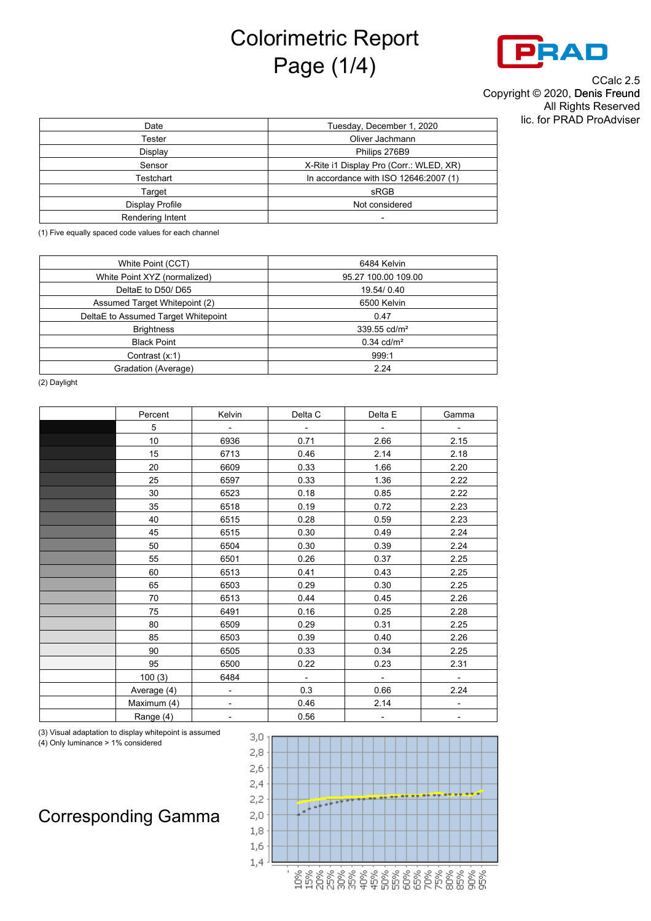## Colorimetric Report Page (1/4)



CCalc 2.5 Copyright © 2020, Denis Freund All Rights Reserved lic. for PRAD ProAdviser

| Date             | Tuesday, December 1, 2020               |
|------------------|-----------------------------------------|
| Tester           | Oliver Jachmann                         |
| Display          | Philips 276B9                           |
| Sensor           | X-Rite i1 Display Pro (Corr.: WLED, XR) |
| Testchart        | In accordance with ISO 12646:2007 (1)   |
| Target           | sRGB                                    |
| Display Profile  | Not considered                          |
| Rendering Intent |                                         |
|                  |                                         |

(1) Five equally spaced code values for each channel

| White Point (CCT)                   | 6484 Kelvin                |
|-------------------------------------|----------------------------|
| White Point XYZ (normalized)        | 95.27 100.00 109.00        |
| DeltaE to D50/D65                   | 19.54/0.40                 |
| Assumed Target Whitepoint (2)       | 6500 Kelvin                |
| DeltaE to Assumed Target Whitepoint | 0.47                       |
| <b>Brightness</b>                   | $339.55$ cd/m <sup>2</sup> |
| <b>Black Point</b>                  | $0.34$ cd/m <sup>2</sup>   |
| Contrast (x:1)                      | 999:1                      |
| Gradation (Average)                 | 2.24                       |

(2) Daylight

| Percent     | Kelvin                    | Delta C                     | Delta E | Gamma                    |
|-------------|---------------------------|-----------------------------|---------|--------------------------|
| 5           | $\sim$                    | $\equiv$                    | $\sim$  | $\overline{\phantom{a}}$ |
| 10          | 6936                      | 0.71                        | 2.66    | 2.15                     |
| 15          | 6713                      | 0.46                        | 2.14    | 2.18                     |
| 20          | 6609                      | 0.33                        | 1.66    | 2.20                     |
| 25          | 6597                      | 0.33                        | 1.36    | 2.22                     |
| 30          | 6523                      | 0.18                        | 0.85    | 2.22                     |
| 35          | 6518                      | 0.19                        | 0.72    | 2.23                     |
| 40          | 6515                      | 0.28                        | 0.59    | 2.23                     |
| 45          | 6515                      | 0.30                        | 0.49    | 2.24                     |
| 50          | 6504                      | 0.30                        | 0.39    | 2.24                     |
| 55          | 6501                      | 0.26                        | 0.37    | 2.25                     |
| 60          | 6513                      | 0.41                        | 0.43    | 2.25                     |
| 65          | 6503                      | 0.29                        | 0.30    | 2.25                     |
| 70          | 6513                      | 0.44                        | 0.45    | 2.26                     |
| 75          | 6491                      | 0.16                        | 0.25    | 2.28                     |
| 80          | 6509                      | 0.29                        | 0.31    | 2.25                     |
| 85          | 6503                      | 0.39                        | 0.40    | 2.26                     |
| 90          | 6505                      | 0.33                        | 0.34    | 2.25                     |
| 95          | 6500                      | 0.22                        | 0.23    | 2.31                     |
| 100(3)      | 6484                      | $\mathcal{L}_{\mathcal{A}}$ | $\sim$  | $\blacksquare$           |
| Average (4) | $\mathbb{Z}^{\mathbb{Z}}$ | 0.3                         | 0.66    | 2.24                     |
| Maximum (4) | $\overline{\phantom{0}}$  | 0.46                        | 2.14    | $\overline{\phantom{a}}$ |
| Range (4)   |                           | 0.56                        |         | $\overline{\phantom{a}}$ |

(3) Visual adaptation to display whitepoint is assumed (4) Only luminance > 1% considered



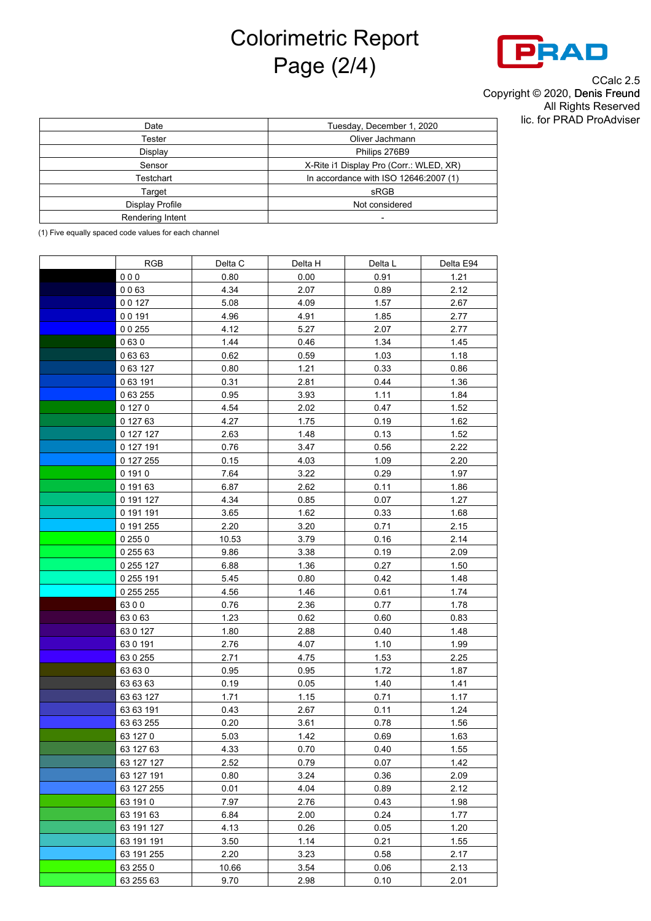## Colorimetric Report Page (2/4)



CCalc 2.5 Copyright © 2020, Denis Freund All Rights Reserved lic. for PRAD ProAdviser

| Date             | Tuesday, December 1, 2020               |
|------------------|-----------------------------------------|
| Tester           | Oliver Jachmann                         |
| Display          | Philips 276B9                           |
| Sensor           | X-Rite i1 Display Pro (Corr.: WLED, XR) |
| Testchart        | In accordance with ISO 12646:2007 (1)   |
| Target           | sRGB                                    |
| Display Profile  | Not considered                          |
| Rendering Intent |                                         |
|                  |                                         |

(1) Five equally spaced code values for each channel

| <b>RGB</b> | Delta C | Delta H | Delta L | Delta E94 |
|------------|---------|---------|---------|-----------|
| 000        | 0.80    | 0.00    | 0.91    | 1.21      |
| 0063       | 4.34    | 2.07    | 0.89    | 2.12      |
| 00127      | 5.08    | 4.09    | 1.57    | 2.67      |
| 00191      | 4.96    | 4.91    | 1.85    | 2.77      |
| 0 0 255    | 4.12    | 5.27    | 2.07    | 2.77      |
| 0630       | 1.44    | 0.46    | 1.34    | 1.45      |
| 0 63 63    | 0.62    | 0.59    | 1.03    | 1.18      |
| 0 63 127   | 0.80    | 1.21    | 0.33    | 0.86      |
| 063191     | 0.31    | 2.81    | 0.44    | 1.36      |
| 0 63 255   | 0.95    | 3.93    | 1.11    | 1.84      |
| 0 127 0    | 4.54    | 2.02    | 0.47    | 1.52      |
| 0 127 63   | 4.27    | 1.75    | 0.19    | 1.62      |
| 0 127 127  | 2.63    | 1.48    | 0.13    | 1.52      |
| 0 127 191  | 0.76    | 3.47    | 0.56    | 2.22      |
| 0 127 255  | 0.15    | 4.03    | 1.09    | 2.20      |
| 0 191 0    | 7.64    | 3.22    | 0.29    | 1.97      |
| 0 191 63   | 6.87    | 2.62    | 0.11    | 1.86      |
| 0 191 127  | 4.34    | 0.85    | 0.07    | 1.27      |
| 0 191 191  | 3.65    | 1.62    | 0.33    | 1.68      |
| 0 191 255  | 2.20    | 3.20    | 0.71    | 2.15      |
| 0 255 0    | 10.53   | 3.79    | 0.16    | 2.14      |
| 0 255 63   | 9.86    | 3.38    | 0.19    | 2.09      |
| 0 255 127  | 6.88    | 1.36    | 0.27    | 1.50      |
| 0 255 191  | 5.45    | 0.80    | 0.42    | 1.48      |
| 0 255 255  | 4.56    | 1.46    | 0.61    | 1.74      |
| 6300       | 0.76    | 2.36    | 0.77    | 1.78      |
| 63063      | 1.23    | 0.62    | 0.60    | 0.83      |
| 63 0 127   | 1.80    | 2.88    | 0.40    | 1.48      |
| 63 0 191   | 2.76    | 4.07    | 1.10    | 1.99      |
| 63 0 255   | 2.71    | 4.75    | 1.53    | 2.25      |
| 63 63 0    | 0.95    | 0.95    | 1.72    | 1.87      |
| 63 63 63   | 0.19    | 0.05    | 1.40    | 1.41      |
| 63 63 127  | 1.71    | 1.15    | 0.71    | 1.17      |
| 63 63 191  | 0.43    | 2.67    | 0.11    | 1.24      |
| 63 63 255  | 0.20    | 3.61    | 0.78    | 1.56      |
| 63 127 0   | 5.03    | 1.42    | 0.69    | 1.63      |
| 63 127 63  | 4.33    | 0.70    | 0.40    | 1.55      |
| 63 127 127 | 2.52    | 0.79    | 0.07    | 1.42      |
| 63 127 191 | 0.80    | 3.24    | 0.36    | 2.09      |
| 63 127 255 | 0.01    | 4.04    | 0.89    | 2.12      |
| 63 191 0   | 7.97    | 2.76    | 0.43    | 1.98      |
| 63 191 63  | 6.84    | 2.00    | 0.24    | 1.77      |
| 63 191 127 | 4.13    | 0.26    | 0.05    | 1.20      |
| 63 191 191 | 3.50    | 1.14    | 0.21    | 1.55      |
| 63 191 255 | 2.20    | 3.23    | 0.58    | 2.17      |
| 63 255 0   | 10.66   | 3.54    | 0.06    | 2.13      |
| 63 255 63  | 9.70    | 2.98    | 0.10    | 2.01      |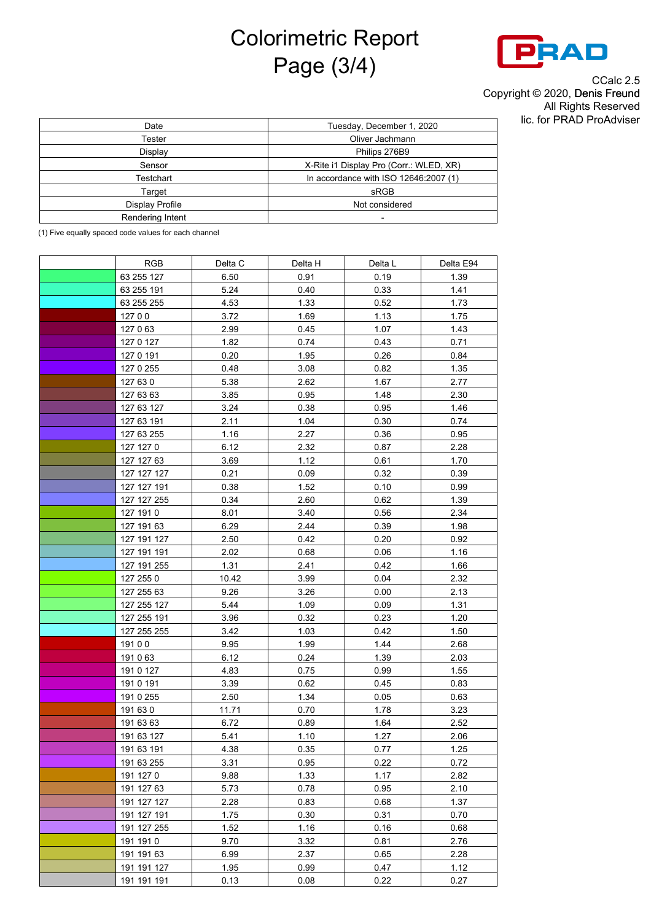## Colorimetric Report Page (3/4)



CCalc 2.5 Copyright © 2020, Denis Freund All Rights Reserved lic. for PRAD ProAdviser

| Tuesday, December 1, 2020               |
|-----------------------------------------|
| Oliver Jachmann                         |
| Philips 276B9                           |
| X-Rite i1 Display Pro (Corr.: WLED, XR) |
| In accordance with ISO 12646:2007 (1)   |
| sRGB                                    |
| Not considered                          |
|                                         |
|                                         |

(1) Five equally spaced code values for each channel

| <b>RGB</b>  | Delta C | Delta H | Delta L | Delta E94 |
|-------------|---------|---------|---------|-----------|
| 63 255 127  | 6.50    | 0.91    | 0.19    | 1.39      |
| 63 255 191  | 5.24    | 0.40    | 0.33    | 1.41      |
| 63 255 255  | 4.53    | 1.33    | 0.52    | 1.73      |
| 12700       | 3.72    | 1.69    | 1.13    | 1.75      |
| 127063      | 2.99    | 0.45    | 1.07    | 1.43      |
| 127 0 127   | 1.82    | 0.74    | 0.43    | 0.71      |
| 127 0 191   | 0.20    | 1.95    | 0.26    | 0.84      |
| 127 0 255   | 0.48    | 3.08    | 0.82    | 1.35      |
| 127 63 0    | 5.38    | 2.62    | 1.67    | 2.77      |
| 127 63 63   | 3.85    | 0.95    | 1.48    | 2.30      |
| 127 63 127  | 3.24    | 0.38    | 0.95    | 1.46      |
| 127 63 191  | 2.11    | 1.04    | 0.30    | 0.74      |
| 127 63 255  | 1.16    | 2.27    | 0.36    | 0.95      |
| 127 127 0   | 6.12    | 2.32    | 0.87    | 2.28      |
| 127 127 63  | 3.69    | 1.12    | 0.61    | 1.70      |
| 127 127 127 | 0.21    | 0.09    | 0.32    | 0.39      |
| 127 127 191 | 0.38    | 1.52    | 0.10    | 0.99      |
| 127 127 255 | 0.34    | 2.60    | 0.62    | 1.39      |
| 127 191 0   | 8.01    | 3.40    | 0.56    | 2.34      |
| 127 191 63  | 6.29    | 2.44    | 0.39    | 1.98      |
| 127 191 127 | 2.50    | 0.42    | 0.20    | 0.92      |
| 127 191 191 | 2.02    | 0.68    | 0.06    | 1.16      |
| 127 191 255 | 1.31    | 2.41    | 0.42    | 1.66      |
| 127 255 0   | 10.42   | 3.99    | 0.04    | 2.32      |
| 127 255 63  | 9.26    | 3.26    | 0.00    | 2.13      |
| 127 255 127 | 5.44    | 1.09    | 0.09    | 1.31      |
| 127 255 191 | 3.96    | 0.32    | 0.23    | 1.20      |
| 127 255 255 | 3.42    | 1.03    | 0.42    | 1.50      |
| 19100       | 9.95    | 1.99    | 1.44    | 2.68      |
| 191063      | 6.12    | 0.24    | 1.39    | 2.03      |
| 191 0 127   | 4.83    | 0.75    | 0.99    | 1.55      |
| 191 0 191   | 3.39    | 0.62    | 0.45    | 0.83      |
| 191 0 255   | 2.50    | 1.34    | 0.05    | 0.63      |
| 191 63 0    | 11.71   | 0.70    | 1.78    | 3.23      |
| 191 63 63   | 6.72    | 0.89    | 1.64    | 2.52      |
| 191 63 127  | 5.41    | 1.10    | 1.27    | 2.06      |
| 191 63 191  | 4.38    | 0.35    | 0.77    | 1.25      |
| 191 63 255  | 3.31    | 0.95    | 0.22    | 0.72      |
| 191 127 0   | 9.88    | 1.33    | 1.17    | 2.82      |
| 191 127 63  | 5.73    | 0.78    | 0.95    | 2.10      |
| 191 127 127 | 2.28    | 0.83    | 0.68    | 1.37      |
| 191 127 191 | 1.75    | 0.30    | 0.31    | 0.70      |
| 191 127 255 | 1.52    | 1.16    | 0.16    | 0.68      |
| 191 191 0   | 9.70    | 3.32    | 0.81    | 2.76      |
| 191 191 63  | 6.99    | 2.37    | 0.65    | 2.28      |
| 191 191 127 | 1.95    | 0.99    | 0.47    | 1.12      |
| 191 191 191 | 0.13    | 0.08    | 0.22    | 0.27      |